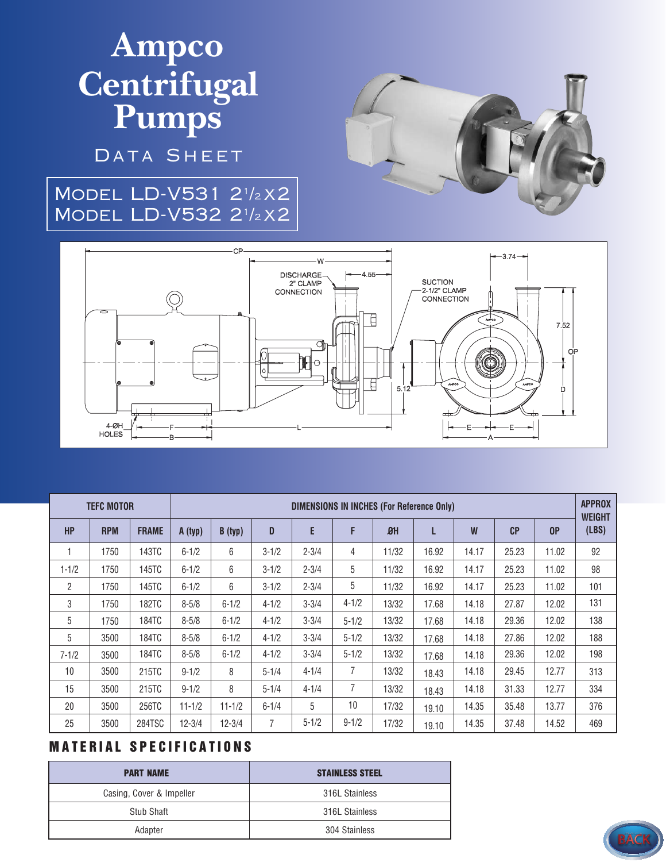# **Ampco Centrifugal Pumps**

DATA SHEET

### Model LD-V531 2<sup>1</sup> /<sup>2</sup> x2 Model LD-V532 2<sup>1</sup> /<sup>2</sup> x2





| <b>TEFC MOTOR</b> |            |              | <b>DIMENSIONS IN INCHES (For Reference Only)</b> |            |                |           |                |       |       |       |                |       | <b>APPROX</b><br><b>WEIGHT</b> |
|-------------------|------------|--------------|--------------------------------------------------|------------|----------------|-----------|----------------|-------|-------|-------|----------------|-------|--------------------------------|
| <b>HP</b>         | <b>RPM</b> | <b>FRAME</b> | A (typ)                                          | B (typ)    | D              | E         | F              | 8H    | L     | W     | C <sub>P</sub> | 0P    | (LBS)                          |
| 1                 | 1750       | 143TC        | $6 - 1/2$                                        | 6          | $3 - 1/2$      | $2 - 3/4$ | 4              | 11/32 | 16.92 | 14.17 | 25.23          | 11.02 | 92                             |
| $1 - 1/2$         | 1750       | 145TC        | $6 - 1/2$                                        | 6          | $3 - 1/2$      | $2 - 3/4$ | 5              | 11/32 | 16.92 | 14.17 | 25.23          | 11.02 | 98                             |
| $\overline{2}$    | 1750       | 145TC        | $6 - 1/2$                                        | 6          | $3 - 1/2$      | $2 - 3/4$ | 5              | 11/32 | 16.92 | 14.17 | 25.23          | 11.02 | 101                            |
| 3                 | 1750       | <b>182TC</b> | $8 - 5/8$                                        | $6 - 1/2$  | $4 - 1/2$      | $3 - 3/4$ | $4 - 1/2$      | 13/32 | 17.68 | 14.18 | 27.87          | 12.02 | 131                            |
| 5                 | 1750       | 184TC        | $8 - 5/8$                                        | $6 - 1/2$  | $4 - 1/2$      | $3 - 3/4$ | $5 - 1/2$      | 13/32 | 17.68 | 14.18 | 29.36          | 12.02 | 138                            |
| 5                 | 3500       | <b>184TC</b> | $8 - 5/8$                                        | $6 - 1/2$  | $4 - 1/2$      | $3 - 3/4$ | $5 - 1/2$      | 13/32 | 17.68 | 14.18 | 27.86          | 12.02 | 188                            |
| $7 - 1/2$         | 3500       | <b>184TC</b> | $8 - 5/8$                                        | $6 - 1/2$  | $4 - 1/2$      | $3 - 3/4$ | $5 - 1/2$      | 13/32 | 17.68 | 14.18 | 29.36          | 12.02 | 198                            |
| 10                | 3500       | 215TC        | $9 - 1/2$                                        | 8          | $5 - 1/4$      | $4 - 1/4$ | 7              | 13/32 | 18.43 | 14.18 | 29.45          | 12.77 | 313                            |
| 15                | 3500       | 215TC        | $9 - 1/2$                                        | 8          | $5 - 1/4$      | $4 - 1/4$ | $\overline{7}$ | 13/32 | 18.43 | 14.18 | 31.33          | 12.77 | 334                            |
| 20                | 3500       | 256TC        | $11 - 1/2$                                       | $11 - 1/2$ | $6 - 1/4$      | 5         | 10             | 17/32 | 19.10 | 14.35 | 35.48          | 13.77 | 376                            |
| 25                | 3500       | 284TSC       | $12 - 3/4$                                       | $12 - 3/4$ | $\overline{7}$ | $5 - 1/2$ | $9 - 1/2$      | 17/32 | 19.10 | 14.35 | 37.48          | 14.52 | 469                            |

#### **MATERIAL SPECIFICATIONS**

| <b>PART NAME</b>         | <b>STAINLESS STEEL</b> |
|--------------------------|------------------------|
| Casing, Cover & Impeller | 316L Stainless         |
| Stub Shaft               | 316L Stainless         |
| Adapter                  | 304 Stainless          |